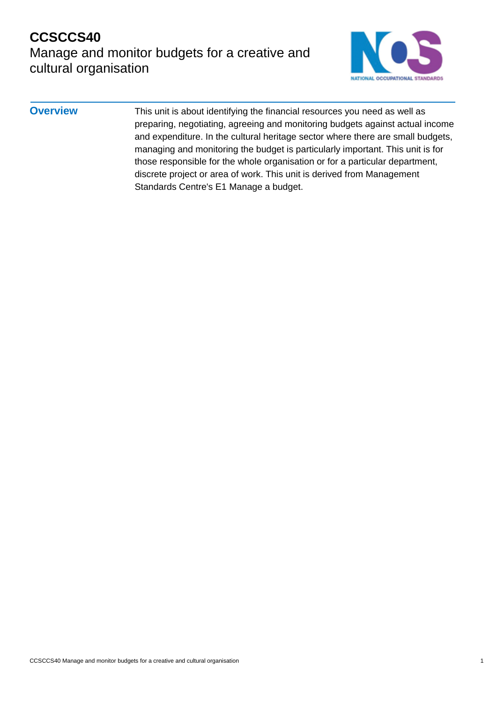## **CCSCCS40** Manage and monitor budgets for a creative and cultural organisation



**Overview** This unit is about identifying the financial resources you need as well as preparing, negotiating, agreeing and monitoring budgets against actual income and expenditure. In the cultural heritage sector where there are small budgets, managing and monitoring the budget is particularly important. This unit is for those responsible for the whole organisation or for a particular department, discrete project or area of work. This unit is derived from Management Standards Centre's E1 Manage a budget.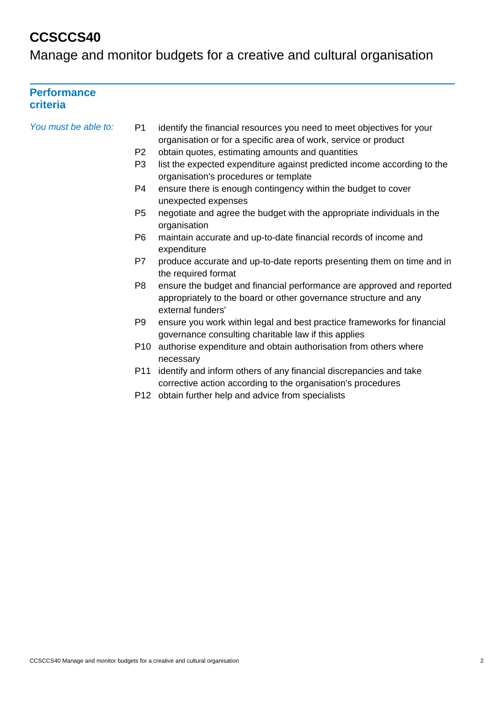# **CCSCCS40**

Manage and monitor budgets for a creative and cultural organisation

### **Performance criteria**

| You must be able to: | P <sub>1</sub>  | identify the financial resources you need to meet objectives for your<br>organisation or for a specific area of work, service or product                       |
|----------------------|-----------------|----------------------------------------------------------------------------------------------------------------------------------------------------------------|
|                      | P <sub>2</sub>  | obtain quotes, estimating amounts and quantities                                                                                                               |
|                      | P <sub>3</sub>  | list the expected expenditure against predicted income according to the<br>organisation's procedures or template                                               |
|                      | P4              | ensure there is enough contingency within the budget to cover<br>unexpected expenses                                                                           |
|                      | P <sub>5</sub>  | negotiate and agree the budget with the appropriate individuals in the<br>organisation                                                                         |
|                      | P <sub>6</sub>  | maintain accurate and up-to-date financial records of income and<br>expenditure                                                                                |
|                      | P7              | produce accurate and up-to-date reports presenting them on time and in<br>the required format                                                                  |
|                      | P8              | ensure the budget and financial performance are approved and reported<br>appropriately to the board or other governance structure and any<br>external funders' |
|                      | P9              | ensure you work within legal and best practice frameworks for financial<br>governance consulting charitable law if this applies                                |
|                      |                 | P10 authorise expenditure and obtain authorisation from others where<br>necessary                                                                              |
|                      | P <sub>11</sub> | identify and inform others of any financial discrepancies and take<br>corrective action according to the organisation's procedures                             |
|                      |                 | P12 obtain further help and advice from specialists                                                                                                            |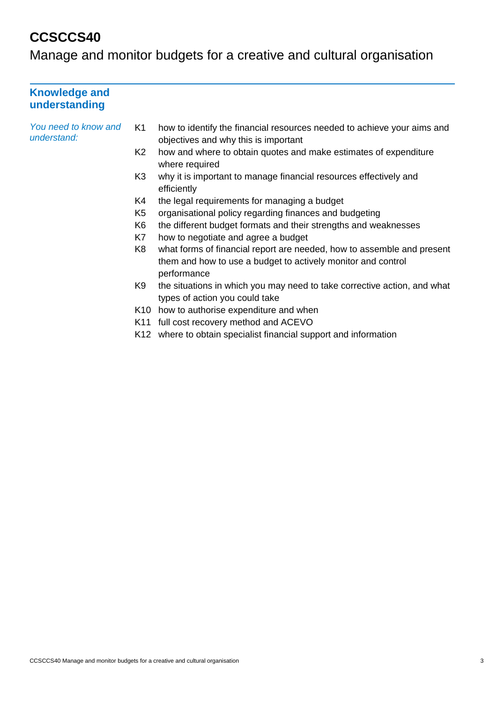# **CCSCCS40**

Manage and monitor budgets for a creative and cultural organisation

| <b>Knowledge and</b><br>understanding |                 |                                                                                                                                                       |
|---------------------------------------|-----------------|-------------------------------------------------------------------------------------------------------------------------------------------------------|
| You need to know and<br>understand:   | K1              | how to identify the financial resources needed to achieve your aims and<br>objectives and why this is important                                       |
|                                       | K2              | how and where to obtain quotes and make estimates of expenditure<br>where required                                                                    |
|                                       | K <sub>3</sub>  | why it is important to manage financial resources effectively and<br>efficiently                                                                      |
|                                       | K4              | the legal requirements for managing a budget                                                                                                          |
|                                       | K5              | organisational policy regarding finances and budgeting                                                                                                |
|                                       | K6              | the different budget formats and their strengths and weaknesses                                                                                       |
|                                       | K7              | how to negotiate and agree a budget                                                                                                                   |
|                                       | K <sub>8</sub>  | what forms of financial report are needed, how to assemble and present<br>them and how to use a budget to actively monitor and control<br>performance |
|                                       | K <sub>9</sub>  | the situations in which you may need to take corrective action, and what<br>types of action you could take                                            |
|                                       | K10 I           | how to authorise expenditure and when                                                                                                                 |
|                                       | K <sub>11</sub> | full cost recovery method and ACEVO                                                                                                                   |
|                                       |                 | K12 where to obtain specialist financial support and information                                                                                      |